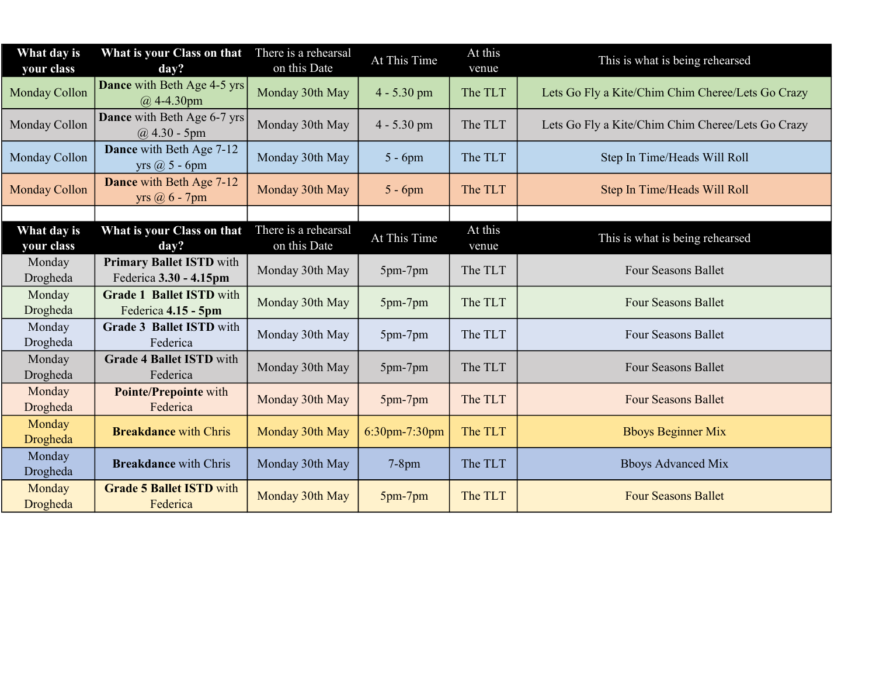| What day is<br>your class | What is your Class on that<br>day?                        | There is a rehearsal<br>on this Date | At This Time  | At this<br>venue | This is what is being rehearsed                   |
|---------------------------|-----------------------------------------------------------|--------------------------------------|---------------|------------------|---------------------------------------------------|
| Monday Collon             | <b>Dance</b> with Beth Age 4-5 yrs<br>$@4-4.30pm$         | Monday 30th May                      | $4 - 5.30$ pm | The TLT          | Lets Go Fly a Kite/Chim Chim Cheree/Lets Go Crazy |
| Monday Collon             | Dance with Beth Age 6-7 yrs<br>$(a)$ 4.30 - 5pm           | Monday 30th May                      | $4 - 5.30$ pm | The TLT          | Lets Go Fly a Kite/Chim Chim Cheree/Lets Go Crazy |
| Monday Collon             | Dance with Beth Age 7-12<br>yrs $\omega$ 5 - 6pm          | Monday 30th May                      | $5 - 6pm$     | The TLT          | Step In Time/Heads Will Roll                      |
| <b>Monday Collon</b>      | <b>Dance</b> with Beth Age 7-12<br>$yrs@6 - 7pm$          | Monday 30th May                      | $5 - 6pm$     | The TLT          | Step In Time/Heads Will Roll                      |
|                           |                                                           |                                      |               |                  |                                                   |
| What day is<br>your class | What is your Class on that<br>day?                        | There is a rehearsal<br>on this Date | At This Time  | At this<br>venue | This is what is being rehearsed                   |
| Monday<br>Drogheda        | <b>Primary Ballet ISTD</b> with<br>Federica 3.30 - 4.15pm | Monday 30th May                      | 5pm-7pm       | The TLT          | Four Seasons Ballet                               |
| Monday<br>Drogheda        | <b>Grade 1 Ballet ISTD with</b><br>Federica 4.15 - 5pm    | Monday 30th May                      | 5pm-7pm       | The TLT          | <b>Four Seasons Ballet</b>                        |
| Monday<br>Drogheda        | <b>Grade 3 Ballet ISTD with</b><br>Federica               | Monday 30th May                      | 5pm-7pm       | The TLT          | Four Seasons Ballet                               |
| Monday<br>Drogheda        | <b>Grade 4 Ballet ISTD with</b><br>Federica               | Monday 30th May                      | 5pm-7pm       | The TLT          | Four Seasons Ballet                               |
| Monday<br>Drogheda        | <b>Pointe/Prepointe with</b><br>Federica                  | Monday 30th May                      | 5pm-7pm       | The TLT          | <b>Four Seasons Ballet</b>                        |
| Monday<br>Drogheda        | <b>Breakdance with Chris</b>                              | Monday 30th May                      | 6:30pm-7:30pm | The TLT          | <b>Bboys Beginner Mix</b>                         |
| Monday<br>Drogheda        | <b>Breakdance with Chris</b>                              | Monday 30th May                      | $7-8$ pm      | The TLT          | <b>Bboys Advanced Mix</b>                         |
| Monday<br>Drogheda        | <b>Grade 5 Ballet ISTD with</b><br>Federica               | Monday 30th May                      | 5pm-7pm       | The TLT          | <b>Four Seasons Ballet</b>                        |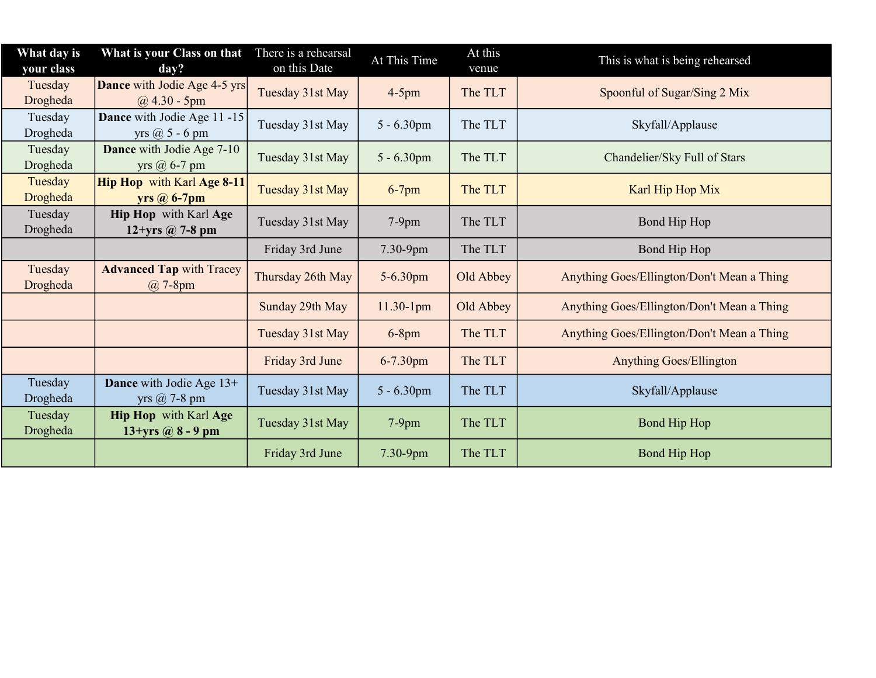| What day is<br>your class | What is your Class on that<br>day?                      | There is a rehearsal<br>on this Date | At This Time  | At this<br>venue | This is what is being rehearsed            |
|---------------------------|---------------------------------------------------------|--------------------------------------|---------------|------------------|--------------------------------------------|
| Tuesday<br>Drogheda       | <b>Dance</b> with Jodie Age 4-5 yrs<br>$(a)$ 4.30 - 5pm | Tuesday 31st May                     | $4-5$ pm      | The TLT          | Spoonful of Sugar/Sing 2 Mix               |
| Tuesday<br>Drogheda       | Dance with Jodie Age 11 -15<br>yrs $\omega$ 5 - 6 pm    | Tuesday 31st May                     | $5 - 6.30$ pm | The TLT          | Skyfall/Applause                           |
| Tuesday<br>Drogheda       | <b>Dance</b> with Jodie Age 7-10<br>yrs $\omega$ 6-7 pm | Tuesday 31st May                     | $5 - 6.30$ pm | The TLT          | Chandelier/Sky Full of Stars               |
| Tuesday<br>Drogheda       | <b>Hip Hop</b> with Karl Age 8-11<br>$yrs@6-7pm$        | Tuesday 31st May                     | $6-7$ pm      | The TLT          | Karl Hip Hop Mix                           |
| Tuesday<br>Drogheda       | <b>Hip Hop</b> with Karl Age<br>$12+yrs @ 7-8 pm$       | Tuesday 31st May                     | $7-9$ pm      | The TLT          | Bond Hip Hop                               |
|                           |                                                         | Friday 3rd June                      | 7.30-9pm      | The TLT          | Bond Hip Hop                               |
| Tuesday<br>Drogheda       | <b>Advanced Tap with Tracey</b><br>@ 7-8pm              | Thursday 26th May                    | 5-6.30pm      | Old Abbey        | Anything Goes/Ellington/Don't Mean a Thing |
|                           |                                                         | Sunday 29th May                      | $11.30 - 1pm$ | Old Abbey        | Anything Goes/Ellington/Don't Mean a Thing |
|                           |                                                         | Tuesday 31st May                     | $6-8$ pm      | The TLT          | Anything Goes/Ellington/Don't Mean a Thing |
|                           |                                                         | Friday 3rd June                      | 6-7.30pm      | The TLT          | <b>Anything Goes/Ellington</b>             |
| Tuesday<br>Drogheda       | Dance with Jodie Age 13+<br>yrs $\omega$ 7-8 pm         | Tuesday 31st May                     | $5 - 6.30$ pm | The TLT          | Skyfall/Applause                           |
| Tuesday<br>Drogheda       | <b>Hip Hop</b> with Karl Age<br>13+yrs $@8 - 9$ pm      | Tuesday 31st May                     | $7-9$ pm      | The TLT          | Bond Hip Hop                               |
|                           |                                                         | Friday 3rd June                      | 7.30-9pm      | The TLT          | Bond Hip Hop                               |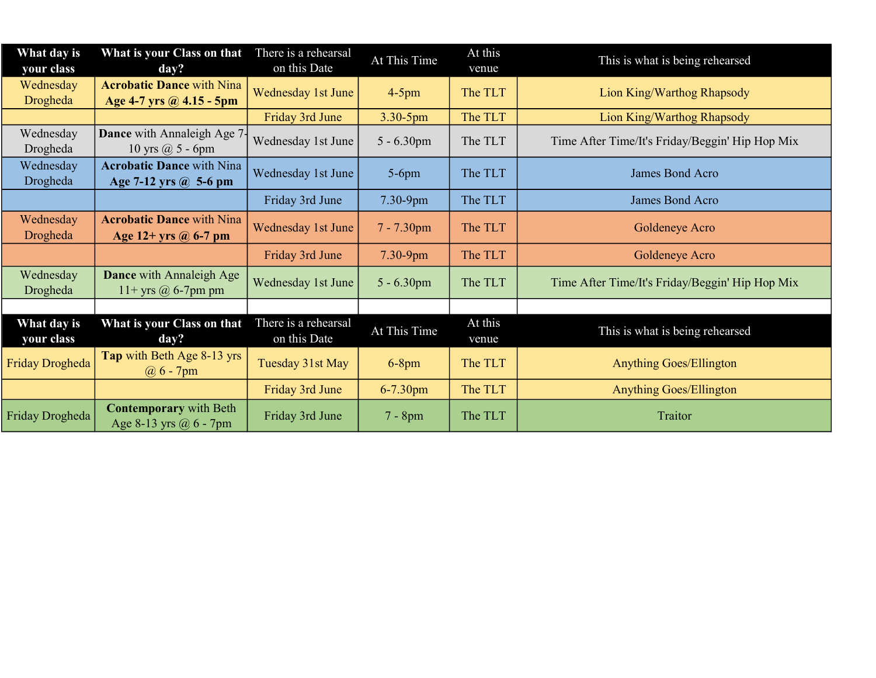| What day is<br>your class | What is your Class on that<br>day?                           | There is a rehearsal<br>on this Date | At This Time  | At this<br>venue | This is what is being rehearsed                 |
|---------------------------|--------------------------------------------------------------|--------------------------------------|---------------|------------------|-------------------------------------------------|
| Wednesday<br>Drogheda     | <b>Acrobatic Dance with Nina</b><br>Age 4-7 yrs @ 4.15 - 5pm | Wednesday 1st June                   | $4-5$ pm      | The TLT          | Lion King/Warthog Rhapsody                      |
|                           |                                                              | Friday 3rd June                      | 3.30-5pm      | The TLT          | Lion King/Warthog Rhapsody                      |
| Wednesday<br>Drogheda     | Dance with Annaleigh Age 7-<br>10 yrs $(a)$ 5 - 6pm          | Wednesday 1st June                   | $5 - 6.30$ pm | The TLT          | Time After Time/It's Friday/Beggin' Hip Hop Mix |
| Wednesday<br>Drogheda     | <b>Acrobatic Dance with Nina</b><br>Age 7-12 yrs @ 5-6 pm    | Wednesday 1st June                   | $5-6$ pm      | The TLT          | James Bond Acro                                 |
|                           |                                                              | Friday 3rd June                      | 7.30-9pm      | The TLT          | James Bond Acro                                 |
| Wednesday<br>Drogheda     | <b>Acrobatic Dance with Nina</b><br>Age $12+$ yrs @ 6-7 pm   | Wednesday 1st June                   | $7 - 7.30$ pm | The TLT          | Goldeneye Acro                                  |
|                           |                                                              | Friday 3rd June                      | $7.30 - 9$ pm | The TLT          | Goldeneye Acro                                  |
| Wednesday<br>Drogheda     | <b>Dance</b> with Annaleigh Age<br>$11+$ yrs @ 6-7pm pm      | Wednesday 1st June                   | $5 - 6.30$ pm | The TLT          | Time After Time/It's Friday/Beggin' Hip Hop Mix |
|                           |                                                              |                                      |               |                  |                                                 |
| What day is<br>your class | What is your Class on that<br>day?                           | There is a rehearsal<br>on this Date | At This Time  | At this<br>venue | This is what is being rehearsed                 |
| Friday Drogheda           | Tap with Beth Age 8-13 yrs<br>$(a) 6 - 7$ pm                 | Tuesday 31st May                     | $6-8$ pm      | The TLT          | <b>Anything Goes/Ellington</b>                  |
|                           |                                                              | Friday 3rd June                      | $6 - 7.30$ pm | The TLT          | <b>Anything Goes/Ellington</b>                  |
| Friday Drogheda           | <b>Contemporary</b> with Beth<br>Age 8-13 yrs @ 6 - 7pm      | Friday 3rd June                      | $7 - 8pm$     | The TLT          | Traitor                                         |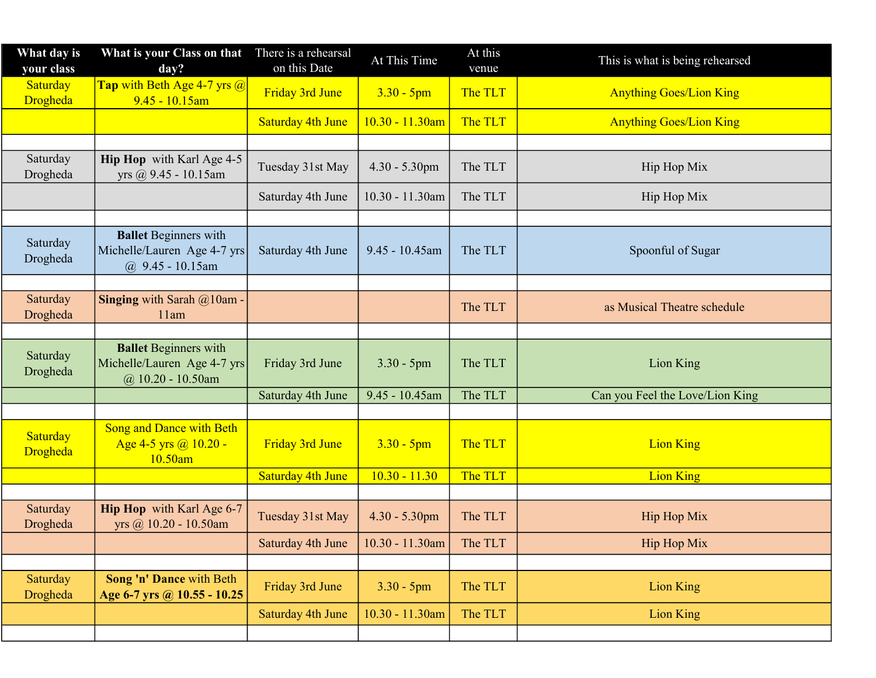| What day is<br>your class          | What is your Class on that<br>day?                                                  | There is a rehearsal<br>on this Date | At This Time     | At this<br>venue | This is what is being rehearsed |
|------------------------------------|-------------------------------------------------------------------------------------|--------------------------------------|------------------|------------------|---------------------------------|
| <b>Saturday</b><br><b>Drogheda</b> | Tap with Beth Age 4-7 yrs @<br>$9.45 - 10.15$ am                                    | Friday 3rd June                      | $3.30 - 5$ pm    | The TLT          | <b>Anything Goes/Lion King</b>  |
|                                    |                                                                                     | <b>Saturday 4th June</b>             | 10.30 - 11.30am  | The TLT          | <b>Anything Goes/Lion King</b>  |
|                                    |                                                                                     |                                      |                  |                  |                                 |
| Saturday<br>Drogheda               | Hip Hop with Karl Age 4-5<br>yrs @ 9.45 - 10.15am                                   | Tuesday 31st May                     | $4.30 - 5.30$ pm | The TLT          | Hip Hop Mix                     |
|                                    |                                                                                     | Saturday 4th June                    | 10.30 - 11.30am  | The TLT          | Hip Hop Mix                     |
|                                    |                                                                                     |                                      |                  |                  |                                 |
| Saturday<br>Drogheda               | <b>Ballet Beginners with</b><br>Michelle/Lauren Age 4-7 yrs<br>$(a)$ 9.45 - 10.15am | Saturday 4th June                    | 9.45 - 10.45am   | The TLT          | Spoonful of Sugar               |
|                                    |                                                                                     |                                      |                  |                  |                                 |
| Saturday<br>Drogheda               | Singing with Sarah @10am -<br>11am                                                  |                                      |                  | The TLT          | as Musical Theatre schedule     |
|                                    |                                                                                     |                                      |                  |                  |                                 |
| Saturday<br>Drogheda               | <b>Ballet Beginners with</b><br>Michelle/Lauren Age 4-7 yrs<br>@ 10.20 - 10.50am    | Friday 3rd June                      | $3.30 - 5$ pm    | The TLT          | Lion King                       |
|                                    |                                                                                     | Saturday 4th June                    | 9.45 - 10.45am   | The TLT          | Can you Feel the Love/Lion King |
|                                    |                                                                                     |                                      |                  |                  |                                 |
| Saturday<br>Drogheda               | <b>Song and Dance with Beth</b><br>Age 4-5 yrs @ 10.20 -<br>10.50am                 | Friday 3rd June                      | $3.30 - 5pm$     | The TLT          | <b>Lion King</b>                |
|                                    |                                                                                     | <b>Saturday 4th June</b>             | $10.30 - 11.30$  | The TLT          | <b>Lion King</b>                |
|                                    |                                                                                     |                                      |                  |                  |                                 |
| Saturday<br>Drogheda               | Hip Hop with Karl Age 6-7<br>yrs @ 10.20 - 10.50am                                  | Tuesday 31st May                     | $4.30 - 5.30$ pm | The TLT          | Hip Hop Mix                     |
|                                    |                                                                                     | Saturday 4th June                    | 10.30 - 11.30am  | The TLT          | Hip Hop Mix                     |
|                                    |                                                                                     |                                      |                  |                  |                                 |
| Saturday<br>Drogheda               | Song 'n' Dance with Beth<br>Age 6-7 yrs @ 10.55 - 10.25                             | Friday 3rd June                      | $3.30 - 5$ pm    | The TLT          | <b>Lion King</b>                |
|                                    |                                                                                     | Saturday 4th June                    | 10.30 - 11.30am  | The TLT          | Lion King                       |
|                                    |                                                                                     |                                      |                  |                  |                                 |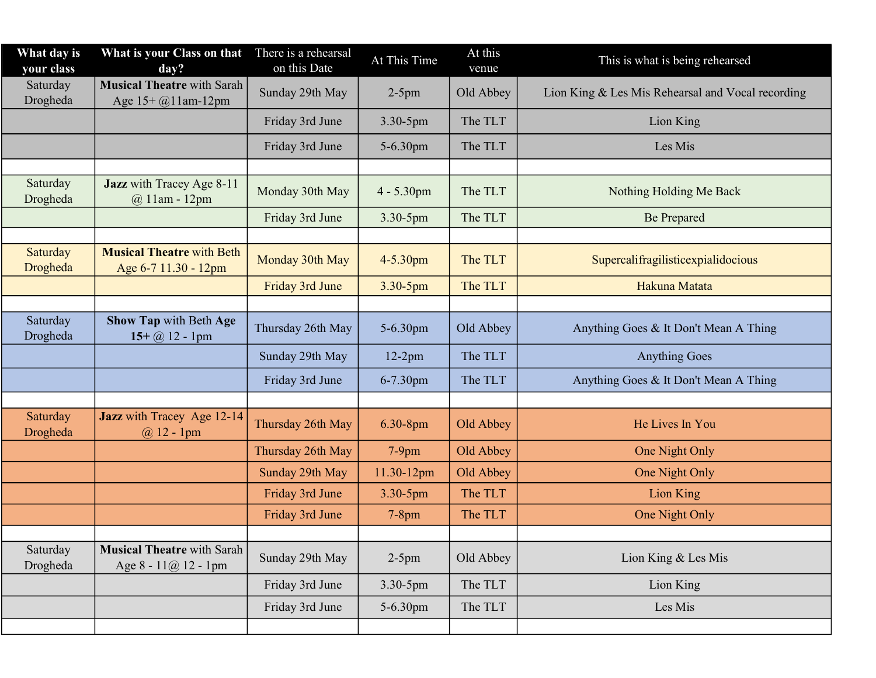| What day is<br>vour class | What is your Class on that<br>day?                          | There is a rehearsal<br>on this Date | At This Time  | At this<br>venue | This is what is being rehearsed                   |
|---------------------------|-------------------------------------------------------------|--------------------------------------|---------------|------------------|---------------------------------------------------|
| Saturday<br>Drogheda      | <b>Musical Theatre with Sarah</b><br>Age 15+ @11am-12pm     | Sunday 29th May                      | $2-5$ pm      | Old Abbey        | Lion King & Les Mis Rehearsal and Vocal recording |
|                           |                                                             | Friday 3rd June                      | 3.30-5pm      | The TLT          | Lion King                                         |
|                           |                                                             | Friday 3rd June                      | 5-6.30pm      | The TLT          | Les Mis                                           |
|                           |                                                             |                                      |               |                  |                                                   |
| Saturday<br>Drogheda      | Jazz with Tracey Age 8-11<br>@ 11am - 12pm                  | Monday 30th May                      | $4 - 5.30$ pm | The TLT          | Nothing Holding Me Back                           |
|                           |                                                             | Friday 3rd June                      | 3.30-5pm      | The TLT          | <b>Be Prepared</b>                                |
|                           |                                                             |                                      |               |                  |                                                   |
| Saturday<br>Drogheda      | <b>Musical Theatre with Beth</b><br>Age 6-7 11.30 - 12pm    | Monday 30th May                      | $4 - 5.30$ pm | The TLT          | Supercalifragilistic expialidocious               |
|                           |                                                             | Friday 3rd June                      | 3.30-5pm      | The TLT          | Hakuna Matata                                     |
|                           |                                                             |                                      |               |                  |                                                   |
| Saturday<br>Drogheda      | <b>Show Tap with Beth Age</b><br>15+ $@12 - 1$ pm           | Thursday 26th May                    | 5-6.30pm      | Old Abbey        | Anything Goes & It Don't Mean A Thing             |
|                           |                                                             | Sunday 29th May                      | $12-2pm$      | The TLT          | <b>Anything Goes</b>                              |
|                           |                                                             | Friday 3rd June                      | 6-7.30pm      | The TLT          | Anything Goes & It Don't Mean A Thing             |
|                           |                                                             |                                      |               |                  |                                                   |
| Saturday<br>Drogheda      | Jazz with Tracey Age 12-14<br>$@12 - 1pm$                   | Thursday 26th May                    | 6.30-8pm      | Old Abbey        | He Lives In You                                   |
|                           |                                                             | Thursday 26th May                    | $7-9$ pm      | Old Abbey        | One Night Only                                    |
|                           |                                                             | Sunday 29th May                      | 11.30-12pm    | Old Abbey        | One Night Only                                    |
|                           |                                                             | Friday 3rd June                      | 3.30-5pm      | The TLT          | Lion King                                         |
|                           |                                                             | Friday 3rd June                      | $7-8$ pm      | The TLT          | One Night Only                                    |
|                           |                                                             |                                      |               |                  |                                                   |
| Saturday<br>Drogheda      | <b>Musical Theatre with Sarah</b><br>Age $8 - 11@12 - 1$ pm | Sunday 29th May                      | $2-5$ pm      | Old Abbey        | Lion King & Les Mis                               |
|                           |                                                             | Friday 3rd June                      | 3.30-5pm      | The TLT          | Lion King                                         |
|                           |                                                             | Friday 3rd June                      | 5-6.30pm      | The TLT          | Les Mis                                           |
|                           |                                                             |                                      |               |                  |                                                   |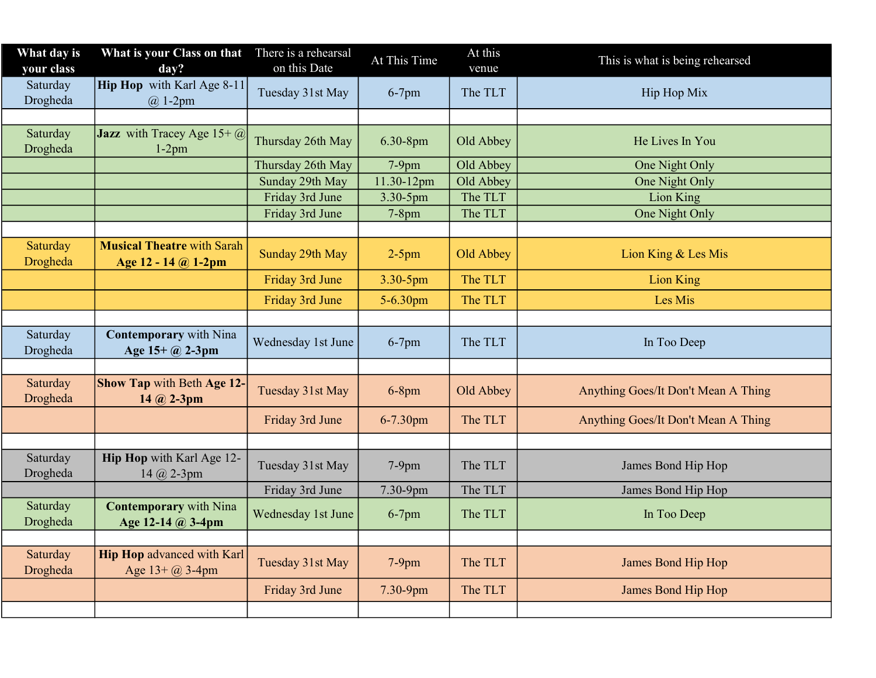| What day is<br>your class | What is your Class on that<br>day?                           | There is a rehearsal<br>on this Date | At This Time | At this<br>venue | This is what is being rehearsed     |
|---------------------------|--------------------------------------------------------------|--------------------------------------|--------------|------------------|-------------------------------------|
| Saturday<br>Drogheda      | <b>Hip Hop</b> with Karl Age 8-11<br>$@1-2pm$                | Tuesday 31st May                     | $6-7$ pm     | The TLT          | Hip Hop Mix                         |
|                           |                                                              |                                      |              |                  |                                     |
| Saturday<br>Drogheda      | <b>Jazz</b> with Tracey Age $15+$ @<br>$1-2pm$               | Thursday 26th May                    | 6.30-8pm     | Old Abbey        | He Lives In You                     |
|                           |                                                              | Thursday 26th May                    | $7-9$ pm     | Old Abbey        | One Night Only                      |
|                           |                                                              | Sunday 29th May                      | 11.30-12pm   | Old Abbey        | One Night Only                      |
|                           |                                                              | Friday 3rd June                      | 3.30-5pm     | The TLT          | Lion King                           |
|                           |                                                              | Friday 3rd June                      | $7-8$ pm     | The TLT          | One Night Only                      |
|                           |                                                              |                                      |              |                  |                                     |
| Saturday<br>Drogheda      | <b>Musical Theatre with Sarah</b><br>Age $12 - 14$ (a) 1-2pm | Sunday 29th May                      | $2-5$ pm     | Old Abbey        | Lion King & Les Mis                 |
|                           |                                                              | Friday 3rd June                      | 3.30-5pm     | The TLT          | <b>Lion King</b>                    |
|                           |                                                              | Friday 3rd June                      | 5-6.30pm     | The TLT          | Les Mis                             |
|                           |                                                              |                                      |              |                  |                                     |
| Saturday<br>Drogheda      | <b>Contemporary</b> with Nina<br>Age $15 + (a)$ 2-3pm        | Wednesday 1st June                   | $6-7$ pm     | The TLT          | In Too Deep                         |
|                           |                                                              |                                      |              |                  |                                     |
| Saturday<br>Drogheda      | Show Tap with Beth Age 12-<br>$14 @ 2-3pm$                   | Tuesday 31st May                     | $6-8$ pm     | Old Abbey        | Anything Goes/It Don't Mean A Thing |
|                           |                                                              | Friday 3rd June                      | 6-7.30pm     | The TLT          | Anything Goes/It Don't Mean A Thing |
|                           |                                                              |                                      |              |                  |                                     |
| Saturday<br>Drogheda      | Hip Hop with Karl Age 12-<br>14 @ 2-3pm                      | Tuesday 31st May                     | $7-9$ pm     | The TLT          | James Bond Hip Hop                  |
|                           |                                                              | Friday 3rd June                      | 7.30-9pm     | The TLT          | James Bond Hip Hop                  |
| Saturday<br>Drogheda      | <b>Contemporary</b> with Nina<br>Age 12-14 @ 3-4pm           | Wednesday 1st June                   | $6-7$ pm     | The TLT          | In Too Deep                         |
|                           |                                                              |                                      |              |                  |                                     |
| Saturday<br>Drogheda      | Hip Hop advanced with Karl<br>Age $13 + (a)$ 3-4pm           | Tuesday 31st May                     | $7-9$ pm     | The TLT          | James Bond Hip Hop                  |
|                           |                                                              | Friday 3rd June                      | 7.30-9pm     | The TLT          | James Bond Hip Hop                  |
|                           |                                                              |                                      |              |                  |                                     |